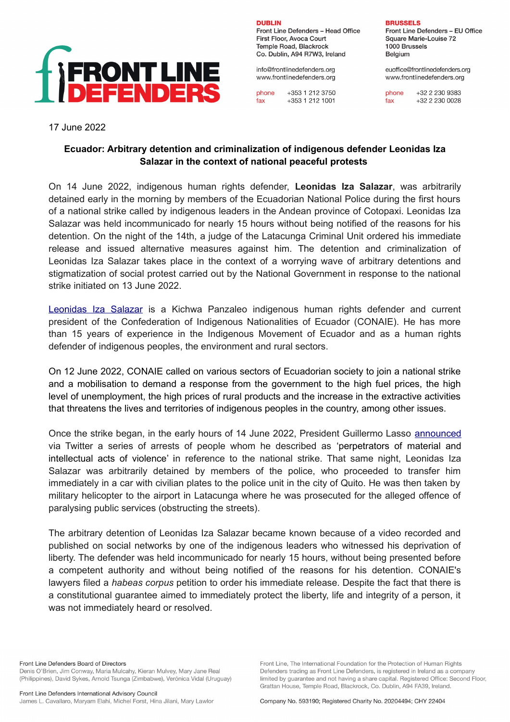

**DURLIN** Front Line Defenders - Head Office First Floor, Avoca Court Temple Road, Blackrock Co. Dublin, A94 R7W3, Ireland

info@frontlinedefenders.org www.frontlinedefenders.org

phone +353 1 212 3750 +353 1 212 1001 fax

**BRUSSELS** 

Front Line Defenders - EU Office Square Marie-Louise 72 1000 Brussels Belgium

euoffice@frontlinedefenders.org www.frontlinedefenders.org

+32 2 230 9383 phone +32 2 230 0028 fax

17 June 2022

## **Ecuador: Arbitrary detention and criminalization of indigenous defender Leonidas Iza Salazar in the context of national peaceful protests**

On 14 June 2022, indigenous human rights defender, **Leonidas Iza Salazar**, was arbitrarily detained early in the morning by members of the Ecuadorian National Police during the first hours of a national strike called by indigenous leaders in the Andean province of Cotopaxi. Leonidas Iza Salazar was held incommunicado for nearly 15 hours without being notified of the reasons for his detention. On the night of the 14th, a judge of the Latacunga Criminal Unit ordered his immediate release and issued alternative measures against him. The detention and criminalization of Leonidas Iza Salazar takes place in the context of a worrying wave of arbitrary detentions and stigmatization of social protest carried out by the National Government in response to the national strike initiated on 13 June 2022.

[Leonidas Iza Salazar](https://www.frontlinedefenders.org/en/profile/leonidas-iza-salazar) is a Kichwa Panzaleo indigenous human rights defender and current president of the Confederation of Indigenous Nationalities of Ecuador (CONAIE). He has more than 15 years of experience in the Indigenous Movement of Ecuador and as a human rights defender of indigenous peoples, the environment and rural sectors.

On 12 June 2022, CONAIE called on various sectors of Ecuadorian society to join a national strike and a mobilisation to demand a response from the government to the high fuel prices, the high level of unemployment, the high prices of rural products and the increase in the extractive activities that threatens the lives and territories of indigenous peoples in the country, among other issues.

Once the strike began, in the early hours of 14 June 2022, President Guillermo Lasso [announced](https://twitter.com/LassoGuillermo/status/1536593974772776960?s=20&t=it6fkPuIghys8M6_B8vrgQ) via Twitter a series of arrests of people whom he described as 'perpetrators of material and intellectual acts of violence' in reference to the national strike. That same night, Leonidas Iza Salazar was arbitrarily detained by members of the police, who proceeded to transfer him immediately in a car with civilian plates to the police unit in the city of Quito. He was then taken by military helicopter to the airport in Latacunga where he was prosecuted for the alleged offence of paralysing public services (obstructing the streets).

The arbitrary detention of Leonidas Iza Salazar became known because of a video recorded and published on social networks by one of the indigenous leaders who witnessed his deprivation of liberty. The defender was held incommunicado for nearly 15 hours, without being presented before a competent authority and without being notified of the reasons for his detention. CONAIE's lawyers filed a *habeas corpus* petition to order his immediate release. Despite the fact that there is a constitutional guarantee aimed to immediately protect the liberty, life and integrity of a person, it was not immediately heard or resolved.